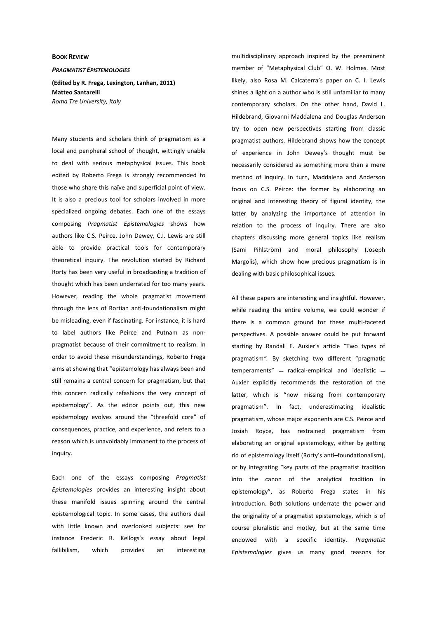## **BOOK REVIEW**

## *PRAGMATIST EPISTEMOLOGIES*

**(Edited by R. Frega, Lexington, Lanhan, 2011) Matteo Santarelli**  *Roma Tre University, Italy* 

Many students and scholars think of pragmatism as a local and peripheral school of thought, wittingly unable to deal with serious metaphysical issues. This book edited by Roberto Frega is strongly recommended to those who share this naïve and superficial point of view. It is also a precious tool for scholars involved in more specialized ongoing debates. Each one of the essays composing *Pragmatist Epistemologies* shows how authors like C.S. Peirce, John Dewey, C.I. Lewis are still able to provide practical tools for contemporary theoretical inquiry. The revolution started by Richard Rorty has been very useful in broadcasting a tradition of thought which has been underrated for too many years. However, reading the whole pragmatist movement through the lens of Rortian anti-foundationalism might be misleading, even if fascinating. For instance, it is hard to label authors like Peirce and Putnam as nonpragmatist because of their commitment to realism. In order to avoid these misunderstandings, Roberto Frega aims at showing that "epistemology has always been and still remains a central concern for pragmatism, but that this concern radically refashions the very concept of epistemology". As the editor points out, this new epistemology evolves around the "threefold core" of consequences, practice, and experience, and refers to a reason which is unavoidably immanent to the process of inquiry.

Each one of the essays composing *Pragmatist Epistemologies* provides an interesting insight about these manifold issues spinning around the central epistemological topic. In some cases, the authors deal with little known and overlooked subjects: see for instance Frederic R. Kellogs's essay about legal fallibilism, which provides an interesting multidisciplinary approach inspired by the preeminent member of "Metaphysical Club" O. W. Holmes. Most likely, also Rosa M. Calcaterra's paper on C. I. Lewis shines a light on a author who is still unfamiliar to many contemporary scholars. On the other hand, David L. Hildebrand, Giovanni Maddalena and Douglas Anderson try to open new perspectives starting from classic pragmatist authors. Hildebrand shows how the concept of experience in John Dewey's thought must be necessarily considered as something more than a mere method of inquiry. In turn, Maddalena and Anderson focus on C.S. Peirce: the former by elaborating an original and interesting theory of figural identity, the latter by analyzing the importance of attention in relation to the process of inquiry. There are also chapters discussing more general topics like realism (Sami Pihlström) and moral philosophy (Joseph Margolis), which show how precious pragmatism is in dealing with basic philosophical issues.

All these papers are interesting and insightful. However, while reading the entire volume, we could wonder if there is a common ground for these multi-faceted perspectives. A possible answer could be put forward starting by Randall E. Auxier's article "Two types of pragmatism*".* By sketching two different "pragmatic  $temperaments'' - radical-empirical and idealistic -$ Auxier explicitly recommends the restoration of the latter, which is "now missing from contemporary pragmatism". In fact, underestimating idealistic pragmatism, whose major exponents are C.S. Peirce and Josiah Royce, has restrained pragmatism from elaborating an original epistemology, either by getting rid of epistemology itself (Rorty's anti–foundationalism), or by integrating "key parts of the pragmatist tradition into the canon of the analytical tradition in epistemology", as Roberto Frega states in his introduction. Both solutions underrate the power and the originality of a pragmatist epistemology, which is of course pluralistic and motley, but at the same time endowed with a specific identity. *Pragmatist Epistemologies* gives us many good reasons for